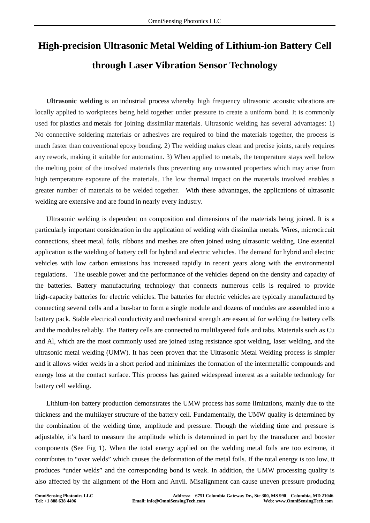## **High-precision Ultrasonic Metal Welding of Lithium-ion Battery Cell through Laser Vibration Sensor Technology**

**Ultrasonic welding** is an industrial process whereby high frequency ultrasonic acoustic vibrations are locally applied to workpieces being held together under pressure to create a uniform bond. It is commonly used for plastics and metals for joining dissimilar materials. Ultrasonic welding has several advantages: 1) No connective soldering materials or adhesives are required to bind the materials together, the process is much faster than conventional epoxy bonding. 2) The welding makes clean and precise joints, rarely requires any rework, making it suitable for automation. 3) When applied to metals, the temperature stays well below the melting point of the involved materials thus preventing any unwanted properties which may arise from high temperature exposure of the materials. The low thermal impact on the materials involved enables a greater number of materials to be welded together. With these advantages, the applications of ultrasonic welding are extensive and are found in nearly every industry.

Ultrasonic welding is dependent on composition and dimensions of the materials being joined. It is a particularly important consideration in the application of welding with dissimilar metals. Wires, microcircuit connections, sheet metal, foils, ribbons and meshes are often joined using ultrasonic welding. One essential application is the wielding of battery cell for hybrid and electric vehicles. The demand for hybrid and electric vehicles with low carbon emissions has increased rapidly in recent years along with the environmental regulations. The useable power and the performance of the vehicles depend on the density and capacity of the batteries. Battery manufacturing technology that connects numerous cells is required to provide high-capacity batteries for electric vehicles. The batteries for electric vehicles are typically manufactured by connecting several cells and a bus-bar to form a single module and dozens of modules are assembled into a battery pack. Stable electrical conductivity and mechanical strength are essential for welding the battery cells and the modules reliably. The Battery cells are connected to multilayered foils and tabs. Materials such as Cu and Al, which are the most commonly used are joined using resistance spot welding, laser welding, and the ultrasonic metal welding (UMW). It has been proven that the Ultrasonic Metal Welding process is simpler and it allows wider welds in a short period and minimizes the formation of the intermetallic compounds and energy loss at the contact surface. This process has gained widespread interest as a suitable technology for battery cell welding.

Lithium-ion battery production demonstrates the UMW process has some limitations, mainly due to the thickness and the multilayer structure of the battery cell. Fundamentally, the UMW quality is determined by the combination of the welding time, amplitude and pressure. Though the wielding time and pressure is adjustable, it's hard to measure the amplitude which is determined in part by the transducer and booster components (See Fig 1). When the total energy applied on the welding metal foils are too extreme, it contributes to "over welds" which causes the deformation of the metal foils. If the total energy is too low, it produces "under welds" and the corresponding bond is weak. In addition, the UMW processing quality is also affected by the alignment of the Horn and Anvil. Misalignment can cause uneven pressure producing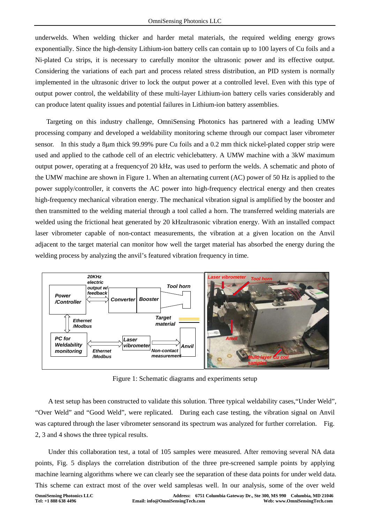underwelds. When welding thicker and harder metal materials, the required welding energy grows exponentially. Since the high-density Lithium-ion battery cells can contain up to 100 layers of Cu foils and a Ni-plated Cu strips, it is necessary to carefully monitor the ultrasonic power and its effective output. Considering the variations of each part and process related stress distribution, an PID system is normally implemented in the ultrasonic driver to lock the output power at a controlled level. Even with this type of output power control, the weldability of these multi-layer Lithium-ion battery cells varies considerably and can produce latent quality issues and potential failures in Lithium-ion battery assemblies.

Targeting on this industry challenge, OmniSensing Photonics has partnered with a leading UMW processing company and developed a weldability monitoring scheme through our compact laser vibrometer sensor. In this study a 8µm thick 99.99% pure Cu foils and a 0.2 mm thick nickel-plated copper strip were used and applied to the cathode cell of an electric vehiclebattery. A UMW machine with a 3kW maximum output power, operating at a frequencyof 20 kHz, was used to perform the welds. A schematic and photo of the UMW machine are shown in Figure 1. When an alternating current (AC) power of 50 Hz is applied to the power supply/controller, it converts the AC power into high-frequency electrical energy and then creates high-frequency mechanical vibration energy. The mechanical vibration signal is amplified by the booster and then transmitted to the welding material through a tool called a horn. The transferred welding materials are welded using the frictional heat generated by 20 kHzultrasonic vibration energy. With an installed compact laser vibrometer capable of non-contact measurements, the vibration at a given location on the Anvil adjacent to the target material can monitor how well the target material has absorbed the energy during the welding process by analyzing the anvil's featured vibration frequency in time.



Figure 1: Schematic diagrams and experiments setup

A test setup has been constructed to validate this solution. Three typical weldability cases,"Under Weld", "Over Weld" and "Good Weld", were replicated. During each case testing, the vibration signal on Anvil was captured through the laser vibrometer sensorand its spectrum was analyzed for further correlation. Fig. 2, 3 and 4 shows the three typical results.

Under this collaboration test, a total of 105 samples were measured. After removing several NA data points, Fig. 5 displays the correlation distribution of the three pre-screened sample points by applying machine learning algorithms where we can clearly see the separation of these data points for under weld data. This scheme can extract most of the over weld samplesas well. In our analysis, some of the over weld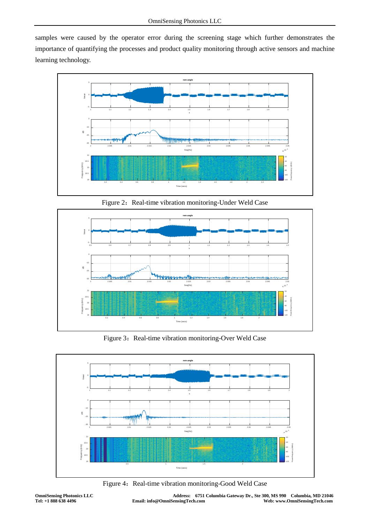samples were caused by the operator error during the screening stage which further demonstrates the importance of quantifying the processes and product quality monitoring through active sensors and machine learning technology.



Figure 2: Real-time vibration monitoring-Under Weld Case



Figure 3: Real-time vibration monitoring-Over Weld Case



Figure 4: Real-time vibration monitoring-Good Weld Case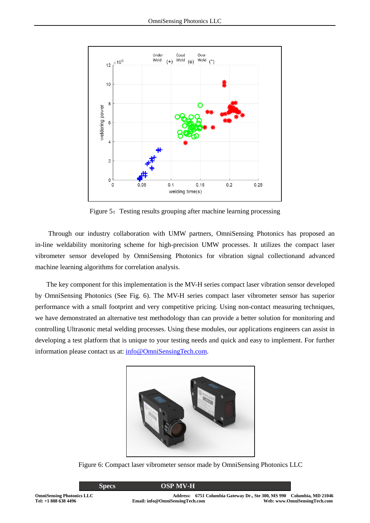

Figure 5: Testing results grouping after machine learning processing

Through our industry collaboration with UMW partners, OmniSensing Photonics has proposed an in-line weldability monitoring scheme for high-precision UMW processes. It utilizes the compact laser vibrometer sensor developed by OmniSensing Photonics for vibration signal collectionand advanced machine learning algorithms for correlation analysis.

The key component for this implementation is the MV-H series compact laser vibration sensor developed by OmniSensing Photonics (See Fig. 6). The MV-H series compact laser vibrometer sensor has superior performance with a small footprint and very competitive pricing. Using non-contact measuring techniques, we have demonstrated an alternative test methodology than can provide a better solution for monitoring and controlling Ultrasonic metal welding processes. Using these modules, our applications engineers can assist in developing a test platform that is unique to your testing needs and quick and easy to implement. For further information please contact us at: [info@OmniSensingTech.com.](mailto:info@OmniSensingTech.com)



Figure 6: Compact laser vibrometer sensor made by OmniSensing Photonics LLC